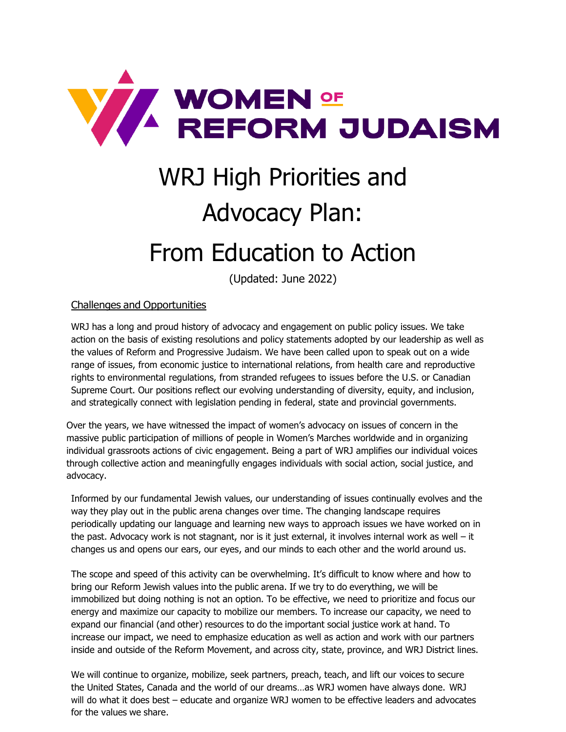

# WRJ High Priorities and Advocacy Plan:

# From Education to Action

(Updated: June 2022)

## Challenges and Opportunities

WRJ has a long and proud history of advocacy and engagement on public policy issues. We take action on the basis of existing resolutions and policy statements adopted by our leadership as well as the values of Reform and Progressive Judaism. We have been called upon to speak out on a wide range of issues, from economic justice to international relations, from health care and reproductive rights to environmental regulations, from stranded refugees to issues before the U.S. or Canadian Supreme Court. Our positions reflect our evolving understanding of diversity, equity, and inclusion, and strategically connect with legislation pending in federal, state and provincial governments.

Over the years, we have witnessed the impact of women's advocacy on issues of concern in the massive public participation of millions of people in Women's Marches worldwide and in organizing individual grassroots actions of civic engagement. Being a part of WRJ amplifies our individual voices through collective action and meaningfully engages individuals with social action, social justice, and advocacy.

Informed by our fundamental Jewish values, our understanding of issues continually evolves and the way they play out in the public arena changes over time. The changing landscape requires periodically updating our language and learning new ways to approach issues we have worked on in the past. Advocacy work is not stagnant, nor is it just external, it involves internal work as well – it changes us and opens our ears, our eyes, and our minds to each other and the world around us.

The scope and speed of this activity can be overwhelming. It's difficult to know where and how to bring our Reform Jewish values into the public arena. If we try to do everything, we will be immobilized but doing nothing is not an option. To be effective, we need to prioritize and focus our energy and maximize our capacity to mobilize our members. To increase our capacity, we need to expand our financial (and other) resources to do the important social justice work at hand. To increase our impact, we need to emphasize education as well as action and work with our partners inside and outside of the Reform Movement, and across city, state, province, and WRJ District lines.

We will continue to organize, mobilize, seek partners, preach, teach, and lift our voices to secure the United States, Canada and the world of our dreams…as WRJ women have always done. WRJ will do what it does best – educate and organize WRJ women to be effective leaders and advocates for the values we share.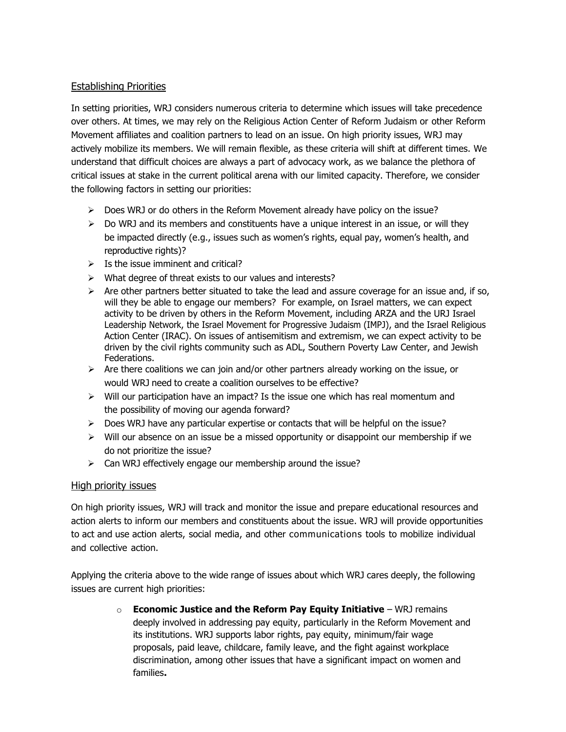### Establishing Priorities

In setting priorities, WRJ considers numerous criteria to determine which issues will take precedence over others. At times, we may rely on the Religious Action Center of Reform Judaism or other Reform Movement affiliates and coalition partners to lead on an issue. On high priority issues, WRJ may actively mobilize its members. We will remain flexible, as these criteria will shift at different times. We understand that difficult choices are always a part of advocacy work, as we balance the plethora of critical issues at stake in the current political arena with our limited capacity. Therefore, we consider the following factors in setting our priorities:

- $\triangleright$  Does WRJ or do others in the Reform Movement already have policy on the issue?
- ➢ Do WRJ and its members and constituents have a unique interest in an issue, or will they be impacted directly (e.g., issues such as women's rights, equal pay, women's health, and reproductive rights)?
- $\triangleright$  Is the issue imminent and critical?
- ➢ What degree of threat exists to our values and interests?
- $\triangleright$  Are other partners better situated to take the lead and assure coverage for an issue and, if so, will they be able to engage our members? For example, on Israel matters, we can expect activity to be driven by others in the Reform Movement, including ARZA and the URJ Israel Leadership Network, the Israel Movement for Progressive Judaism (IMPJ), and the Israel Religious Action Center (IRAC). On issues of antisemitism and extremism, we can expect activity to be driven by the civil rights community such as ADL, Southern Poverty Law Center, and Jewish Federations.
- $\triangleright$  Are there coalitions we can join and/or other partners already working on the issue, or would WRJ need to create a coalition ourselves to be effective?
- $\triangleright$  Will our participation have an impact? Is the issue one which has real momentum and the possibility of moving our agenda forward?
- $\triangleright$  Does WRJ have any particular expertise or contacts that will be helpful on the issue?
- $\triangleright$  Will our absence on an issue be a missed opportunity or disappoint our membership if we do not prioritize the issue?
- ➢ Can WRJ effectively engage our membership around the issue?

### High priority issues

On high priority issues, WRJ will track and monitor the issue and prepare educational resources and action alerts to inform our members and constituents about the issue. WRJ will provide opportunities to act and use action alerts, social media, and other communications tools to mobilize individual and collective action.

Applying the criteria above to the wide range of issues about which WRJ cares deeply, the following issues are current high priorities:

> o **Economic Justice and the Reform Pay Equity Initiative** – WRJ remains deeply involved in addressing pay equity, particularly in the Reform Movement and its institutions. WRJ supports labor rights, pay equity, minimum/fair wage proposals, paid leave, childcare, family leave, and the fight against workplace discrimination, among other issues that have a significant impact on women and families**.**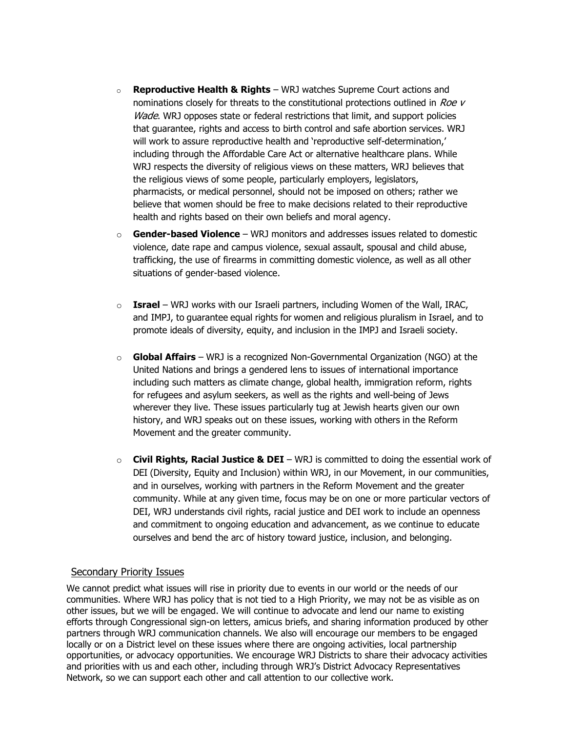- o **Reproductive Health & Rights** WRJ watches Supreme Court actions and nominations closely for threats to the constitutional protections outlined in Roe v Wade. WRJ opposes state or federal restrictions that limit, and support policies that guarantee, rights and access to birth control and safe abortion services. WRJ will work to assure reproductive health and 'reproductive self-determination,' including through the Affordable Care Act or alternative healthcare plans. While WRJ respects the diversity of religious views on these matters, WRJ believes that the religious views of some people, particularly employers, legislators, pharmacists, or medical personnel, should not be imposed on others; rather we believe that women should be free to make decisions related to their reproductive health and rights based on their own beliefs and moral agency.
- o **Gender-based Violence** WRJ monitors and addresses issues related to domestic violence, date rape and campus violence, sexual assault, spousal and child abuse, trafficking, the use of firearms in committing domestic violence, as well as all other situations of gender-based violence.
- o **Israel**  WRJ works with our Israeli partners, including Women of the Wall, IRAC, and IMPJ, to guarantee equal rights for women and religious pluralism in Israel, and to promote ideals of diversity, equity, and inclusion in the IMPJ and Israeli society.
- o **Global Affairs** WRJ is a recognized Non-Governmental Organization (NGO) at the United Nations and brings a gendered lens to issues of international importance including such matters as climate change, global health, immigration reform, rights for refugees and asylum seekers, as well as the rights and well-being of Jews wherever they live. These issues particularly tug at Jewish hearts given our own history, and WRJ speaks out on these issues, working with others in the Reform Movement and the greater community.
- o **Civil Rights, Racial Justice & DEI** WRJ is committed to doing the essential work of DEI (Diversity, Equity and Inclusion) within WRJ, in our Movement, in our communities, and in ourselves, working with partners in the Reform Movement and the greater community. While at any given time, focus may be on one or more particular vectors of DEI, WRJ understands civil rights, racial justice and DEI work to include an openness and commitment to ongoing education and advancement, as we continue to educate ourselves and bend the arc of history toward justice, inclusion, and belonging.

#### Secondary Priority Issues

We cannot predict what issues will rise in priority due to events in our world or the needs of our communities. Where WRJ has policy that is not tied to a High Priority, we may not be as visible as on other issues, but we will be engaged. We will continue to advocate and lend our name to existing efforts through Congressional sign-on letters, amicus briefs, and sharing information produced by other partners through WRJ communication channels. We also will encourage our members to be engaged locally or on a District level on these issues where there are ongoing activities, local partnership opportunities, or advocacy opportunities. We encourage WRJ Districts to share their advocacy activities and priorities with us and each other, including through WRJ's District Advocacy Representatives Network, so we can support each other and call attention to our collective work.